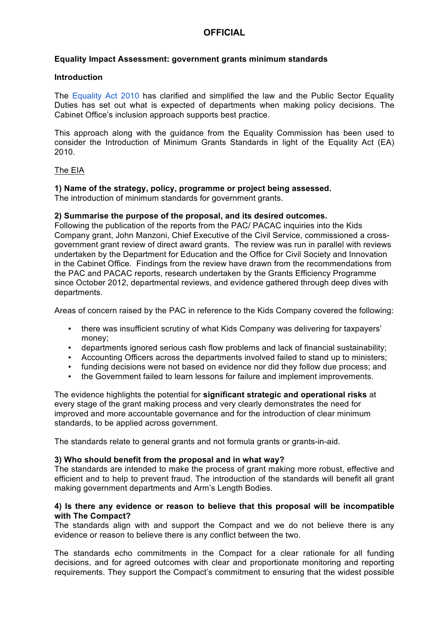# **OFFICIAL**

### **Equality Impact Assessment: government grants minimum standards**

#### **Introduction**

The [Equality Act 2010](http://intranet.cabinetoffice.gov.uk/how-do-i/hr-code/equality-and-diversity/equality-act-2010/) has clarified and simplified the law and the Public Sector Equality Duties has set out what is expected of departments when making policy decisions. The Cabinet Office's inclusion approach supports best practice.

 This approach along with the guidance from the Equality Commission has been used to consider the Introduction of Minimum Grants Standards in light of the Equality Act (EA) 2010.

### The EIA

### **1) Name of the strategy, policy, programme or project being assessed.**

The introduction of minimum standards for government grants.

### **2) Summarise the purpose of the proposal, and its desired outcomes.**

 Following the publication of the reports from the PAC/ PACAC inquiries into the Kids Company grant, John Manzoni, Chief Executive of the Civil Service, commissioned a cross- government grant review of direct award grants. The review was run in parallel with reviews undertaken by the Department for Education and the Office for Civil Society and Innovation in the Cabinet Office. Findings from the review have drawn from the recommendations from since October 2012, departmental reviews, and evidence gathered through deep dives with the PAC and PACAC reports, research undertaken by the Grants Efficiency Programme departments.

Areas of concern raised by the PAC in reference to the Kids Company covered the following:

- there was insufficient scrutiny of what Kids Company was delivering for taxpayers' money;
- • departments ignored serious cash flow problems and lack of financial sustainability;
- • Accounting Officers across the departments involved failed to stand up to ministers;
- funding decisions were not based on evidence nor did they follow due process; and
- • the Government failed to learn lessons for failure and implement improvements.

 The evidence highlights the potential for **significant strategic and operational risks** at every stage of the grant making process and very clearly demonstrates the need for improved and more accountable governance and for the introduction of clear minimum standards, to be applied across government.

The standards relate to general grants and not formula grants or grants-in-aid.

#### **3) Who should benefit from the proposal and in what way?**

 The standards are intended to make the process of grant making more robust, effective and efficient and to help to prevent fraud. The introduction of the standards will benefit all grant making government departments and Arm's Length Bodies.

### **4) Is there any evidence or reason to believe that this proposal will be incompatible with The Compact?**

 The standards align with and support the Compact and we do not believe there is any evidence or reason to believe there is any conflict between the two.

 The standards echo commitments in the Compact for a clear rationale for all funding decisions, and for agreed outcomes with clear and proportionate monitoring and reporting requirements. They support the Compact's commitment to ensuring that the widest possible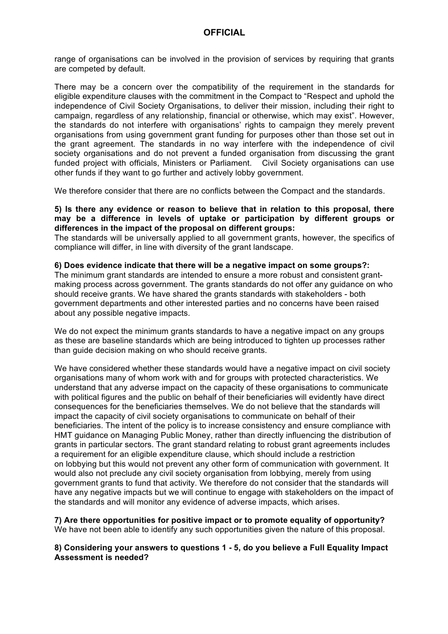range of organisations can be involved in the provision of services by requiring that grants are competed by default.

 There may be a concern over the compatibility of the requirement in the standards for independence of Civil Society Organisations, to deliver their mission, including their right to campaign, regardless of any relationship, financial or otherwise, which may exist". However, the standards do not interfere with organisations' rights to campaign they merely prevent organisations from using government grant funding for purposes other than those set out in the grant agreement. The standards in no way interfere with the independence of civil society organisations and do not prevent a funded organisation from discussing the grant funded project with officials, Ministers or Parliament. Civil Society organisations can use other funds if they want to go further and actively lobby government. eligible expenditure clauses with the commitment in the Compact to "Respect and uphold the

We therefore consider that there are no conflicts between the Compact and the standards.

### **5) Is there any evidence or reason to believe that in relation to this proposal, there may be a difference in levels of uptake or participation by different groups or differences in the impact of the proposal on different groups:**

 The standards will be universally applied to all government grants, however, the specifics of compliance will differ, in line with diversity of the grant landscape.

#### **6) Does evidence indicate that there will be a negative impact on some groups?:**

 The minimum grant standards are intended to ensure a more robust and consistent grant- making process across government. The grants standards do not offer any guidance on who should receive grants. We have shared the grants standards with stakeholders - both government departments and other interested parties and no concerns have been raised about any possible negative impacts.

 We do not expect the minimum grants standards to have a negative impact on any groups as these are baseline standards which are being introduced to tighten up processes rather than guide decision making on who should receive grants.

 We have considered whether these standards would have a negative impact on civil society organisations many of whom work with and for groups with protected characteristics. We understand that any adverse impact on the capacity of these organisations to communicate with political figures and the public on behalf of their beneficiaries will evidently have direct consequences for the beneficiaries themselves. We do not believe that the standards will impact the capacity of civil society organisations to communicate on behalf of their beneficiaries. The intent of the policy is to increase consistency and ensure compliance with HMT guidance on Managing Public Money, rather than directly influencing the distribution of a requirement for an eligible expenditure clause, which should include a restriction on lobbying but this would not prevent any other form of communication with government. It would also not preclude any civil society organisation from lobbying, merely from using government grants to fund that activity. We therefore do not consider that the standards will have any negative impacts but we will continue to engage with stakeholders on the impact of grants in particular sectors. The grant standard relating to robust grant agreements includes the standards and will monitor any evidence of adverse impacts, which arises.

 **7) Are there opportunities for positive impact or to promote equality of opportunity?**  We have not been able to identify any such opportunities given the nature of this proposal.

### **8) Considering your answers to questions 1 - 5, do you believe a Full Equality Impact Assessment is needed?**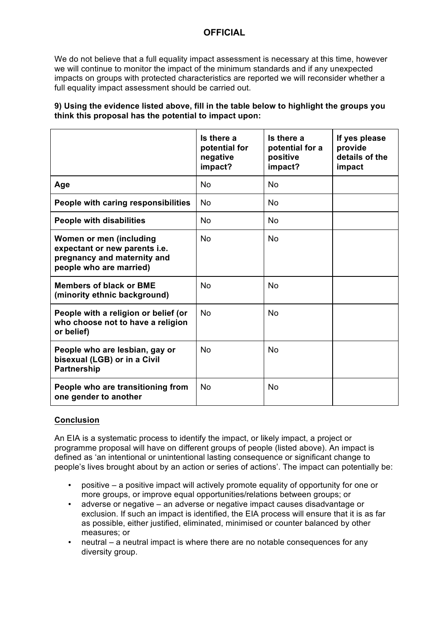# **OFFICIAL**

 We do not believe that a full equality impact assessment is necessary at this time, however we will continue to monitor the impact of the minimum standards and if any unexpected impacts on groups with protected characteristics are reported we will reconsider whether a full equality impact assessment should be carried out.

## **9) Using the evidence listed above, fill in the table below to highlight the groups you think this proposal has the potential to impact upon:**

|                                                                                                                    | Is there a<br>potential for<br>negative<br>impact? | Is there a<br>potential for a<br>positive<br>impact? | If yes please<br>provide<br>details of the<br>impact |
|--------------------------------------------------------------------------------------------------------------------|----------------------------------------------------|------------------------------------------------------|------------------------------------------------------|
| Age                                                                                                                | <b>No</b>                                          | <b>No</b>                                            |                                                      |
| People with caring responsibilities                                                                                | <b>No</b>                                          | N <sub>0</sub>                                       |                                                      |
| <b>People with disabilities</b>                                                                                    | <b>No</b>                                          | <b>No</b>                                            |                                                      |
| Women or men (including<br>expectant or new parents i.e.<br>pregnancy and maternity and<br>people who are married) | <b>No</b>                                          | <b>No</b>                                            |                                                      |
| <b>Members of black or BME</b><br>(minority ethnic background)                                                     | <b>No</b>                                          | <b>No</b>                                            |                                                      |
| People with a religion or belief (or<br>who choose not to have a religion<br>or belief)                            | <b>No</b>                                          | <b>No</b>                                            |                                                      |
| People who are lesbian, gay or<br>bisexual (LGB) or in a Civil<br><b>Partnership</b>                               | N <sub>0</sub>                                     | <b>No</b>                                            |                                                      |
| People who are transitioning from<br>one gender to another                                                         | <b>No</b>                                          | <b>No</b>                                            |                                                      |

## **Conclusion**

 programme proposal will have on different groups of people (listed above). An impact is defined as 'an intentional or unintentional lasting consequence or significant change to people's lives brought about by an action or series of actions'. The impact can potentially be: An EIA is a systematic process to identify the impact, or likely impact, a project or

- positive a positive impact will actively promote equality of opportunity for one or more groups, or improve equal opportunities/relations between groups; or
- • adverse or negative an adverse or negative impact causes disadvantage or exclusion. If such an impact is identified, the EIA process will ensure that it is as far as possible, either justified, eliminated, minimised or counter balanced by other measures; or
- neutral a neutral impact is where there are no notable consequences for any diversity group.